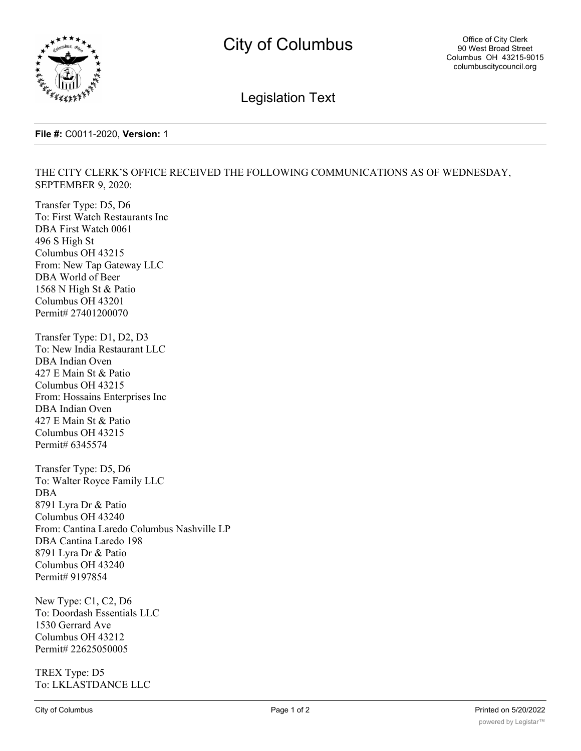

Legislation Text

## **File #:** C0011-2020, **Version:** 1

## THE CITY CLERK'S OFFICE RECEIVED THE FOLLOWING COMMUNICATIONS AS OF WEDNESDAY, SEPTEMBER 9, 2020:

Transfer Type: D5, D6 To: First Watch Restaurants Inc DBA First Watch 0061 496 S High St Columbus OH 43215 From: New Tap Gateway LLC DBA World of Beer 1568 N High St & Patio Columbus OH 43201 Permit# 27401200070

Transfer Type: D1, D2, D3 To: New India Restaurant LLC DBA Indian Oven 427 E Main St & Patio Columbus OH 43215 From: Hossains Enterprises Inc DBA Indian Oven 427 E Main St & Patio Columbus OH 43215 Permit# 6345574

Transfer Type: D5, D6 To: Walter Royce Family LLC DBA 8791 Lyra Dr & Patio Columbus OH 43240 From: Cantina Laredo Columbus Nashville LP DBA Cantina Laredo 198 8791 Lyra Dr & Patio Columbus OH 43240 Permit# 9197854

New Type: C1, C2, D6 To: Doordash Essentials LLC 1530 Gerrard Ave Columbus OH 43212 Permit# 22625050005

TREX Type: D5 To: LKLASTDANCE LLC